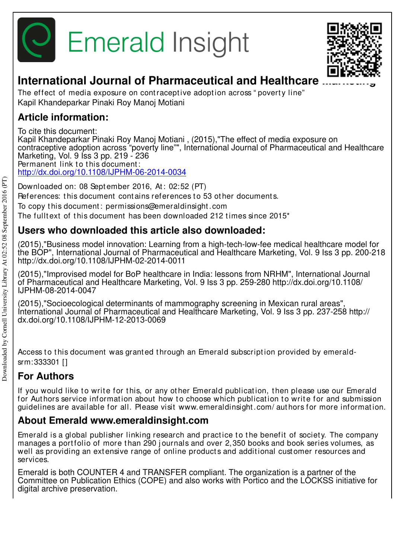



## **International Journal of Pharmaceutical and Healthcare**

The effect of media exposure on contraceptive adoption across "poverty line" Kapil Khandeparkar Pinaki Roy Manoj Motiani

### **Article information:**

To cite this document: Kapil Khandeparkar Pinaki Roy Manoj Motiani , (2015),"The effect of media exposure on contraceptive adoption across "poverty line"", International Journal of Pharmaceutical and Healthcare Marketing, Vol. 9 Iss 3 pp. 219 - 236 Permanent link to this document: http://dx.doi.org/10.1108/IJPHM-06-2014-0034

Downloaded on: 08 Sept ember 2016, At : 02:52 (PT) References: this document contains references to 53 other documents. To copy t his document : permissions@emeraldinsight .com The fulltext of this document has been downloaded 212 times since 2015\*

### **Users who downloaded this article also downloaded:**

(2015),"Business model innovation: Learning from a high-tech-low-fee medical healthcare model for the BOP", International Journal of Pharmaceutical and Healthcare Marketing, Vol. 9 Iss 3 pp. 200-218 http://dx.doi.org/10.1108/IJPHM-02-2014-0011

(2015),"Improvised model for BoP healthcare in India: lessons from NRHM", International Journal of Pharmaceutical and Healthcare Marketing, Vol. 9 Iss 3 pp. 259-280 http://dx.doi.org/10.1108/ IJPHM-08-2014-0047

(2015),"Socioecological determinants of mammography screening in Mexican rural areas", International Journal of Pharmaceutical and Healthcare Marketing, Vol. 9 Iss 3 pp. 237-258 http:// dx.doi.org/10.1108/IJPHM-12-2013-0069

Access to this document was granted through an Emerald subscription provided by emeraldsrm:333301 []

### **For Authors**

If you would like to write for this, or any other Emerald publication, then please use our Emerald for Authors service information about how to choose which publication to write for and submission guidelines are available for all. Please visit www.emeraldinsight.com/ authors for more information.

### **About Emerald www.emeraldinsight.com**

Emerald is a global publisher linking research and practice to the benefit of society. The company manages a portfolio of more than 290 journals and over 2,350 books and book series volumes, as well as providing an extensive range of online products and additional customer resources and services.

Emerald is both COUNTER 4 and TRANSFER compliant. The organization is a partner of the Committee on Publication Ethics (COPE) and also works with Portico and the LOCKSS initiative for digital archive preservation.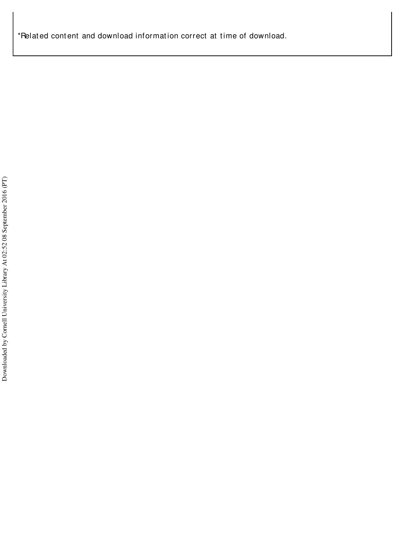\*Related content and download information correct at time of download.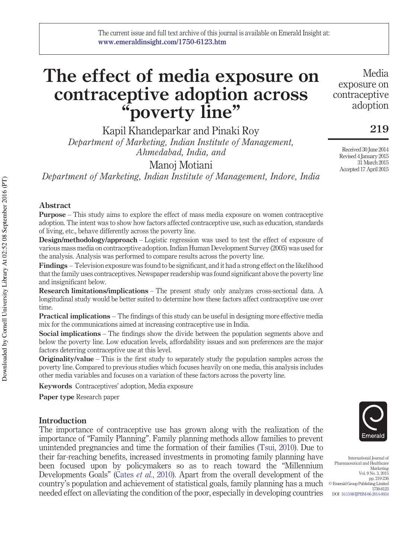# **The effect of media exposure on contraceptive adoption across "poverty line"**

Kapil Khandeparkar and Pinaki Roy *Department of Marketing, Indian Institute of Management, Ahmedabad, India, and*

Manoj Motiani

*Department of Marketing, Indian Institute of Management, Indore, India*

**Abstract**

**Purpose** – This study aims to explore the effect of mass media exposure on women contraceptive adoption. The intent was to show how factors affected contraceptive use, such as education, standards of living, etc., behave differently across the poverty line.

**Design/methodology/approach** – Logistic regression was used to test the effect of exposure of various mass media on contraceptive adoption. Indian Human Development Survey (2005) was used for the analysis. Analysis was performed to compare results across the poverty line.

**Findings** – Television exposure was found to be significant, and it had a strong effect on the likelihood that the family uses contraceptives. Newspaper readership was found significant above the poverty line and insignificant below.

**Research limitations/implications** – The present study only analyzes cross-sectional data. A longitudinal study would be better suited to determine how these factors affect contraceptive use over time.

**Practical implications** – The findings of this study can be useful in designing more effective media mix for the communications aimed at increasing contraceptive use in India.

**Social implications** – The findings show the divide between the population segments above and below the poverty line. Low education levels, affordability issues and son preferences are the major factors deterring contraceptive use at this level.

**Originality/value** – This is the first study to separately study the population samples across the poverty line. Compared to previous studies which focuses heavily on one media, this analysis includes other media variables and focuses on a variation of these factors across the poverty line.

**Keywords** Contraceptives' adoption, Media exposure

**Paper type** Research paper

#### **Introduction**

The importance of contraceptive use has grown along with the realization of the importance of "Family Planning". Family planning methods allow families to prevent unintended pregnancies and time the formation of their families (Tsui, 2010). Due to their far-reaching benefits, increased investments in promoting family planning have been focused upon by policymakers so as to reach toward the "Millennium Developments Goals" (Cates *et al.*, 2010). Apart from the overall development of the country's population and achievement of statistical goals, family planning has a much needed effect on alleviating the condition of the poor, especially in developing countries



International Journal of Pharmaceutical and Healthcare Marketing Vol. 9 No. 3, 2015 pp. 219-236 © Emerald Group Publishing Limited 1750-6123 DOI 10.1108/IJPHM-06-2014-0034

Media

exposure on contraceptive adoption

> Received 30 June 2014 Revised 4 January 2015 31 March 2015 Accepted 17 April 2015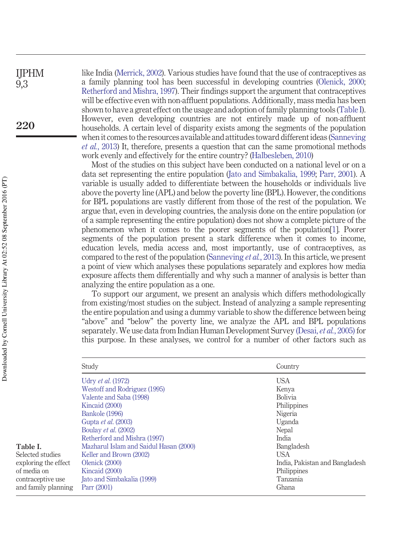like India (Merrick, 2002). Various studies have found that the use of contraceptives as a family planning tool has been successful in developing countries (Olenick, 2000; Retherford and Mishra, 1997). Their findings support the argument that contraceptives will be effective even with non-affluent populations. Additionally, mass media has been shown to have a great effect on the usage and adoption of family planning tools (Table I). However, even developing countries are not entirely made up of non-affluent households. A certain level of disparity exists among the segments of the population when it comes to the resources available and attitudes toward different ideas (Sanneving *et al.*, 2013) It, therefore, presents a question that can the same promotional methods work evenly and effectively for the entire country? (Halbesleben, 2010)

Most of the studies on this subject have been conducted on a national level or on a data set representing the entire population (Jato and Simbakalia, 1999; Parr, 2001). A variable is usually added to differentiate between the households or individuals live above the poverty line (APL) and below the poverty line (BPL). However, the conditions for BPL populations are vastly different from those of the rest of the population. We argue that, even in developing countries, the analysis done on the entire population (or of a sample representing the entire population) does not show a complete picture of the phenomenon when it comes to the poorer segments of the population[1]. Poorer segments of the population present a stark difference when it comes to income, education levels, media access and, most importantly, use of contraceptives, as compared to the rest of the population (Sanneving *et al.*, 2013). In this article, we present a point of view which analyses these populations separately and explores how media exposure affects them differentially and why such a manner of analysis is better than analyzing the entire population as a one.

To support our argument, we present an analysis which differs methodologically from existing/most studies on the subject. Instead of analyzing a sample representing the entire population and using a dummy variable to show the difference between being "above" and "below" the poverty line, we analyze the APL and BPL populations separately. We use data from Indian Human Development Survey (Desai, *et al.*, 2005) for this purpose. In these analyses, we control for a number of other factors such as

|                      | Study                                  | Country                        |
|----------------------|----------------------------------------|--------------------------------|
|                      | Udry et al. (1972)                     | <b>USA</b>                     |
|                      | Westoff and Rodriguez (1995)           | Kenya                          |
|                      | Valente and Saba (1998)                | <b>Bolivia</b>                 |
|                      | Kincaid (2000)                         | Philippines                    |
|                      | Bankole (1996)                         | Nigeria                        |
|                      | Gupta et al. (2003)                    | Uganda                         |
|                      | Boulay et al. (2002)                   | Nepal                          |
|                      | Retherford and Mishra (1997)           | India                          |
| Table I.             | Mazharul Islam and Saidul Hasan (2000) | Bangladesh                     |
| Selected studies     | Keller and Brown (2002)                | <b>USA</b>                     |
| exploring the effect | Olenick (2000)                         | India, Pakistan and Bangladesh |
| of media on          | Kincaid (2000)                         | Philippines                    |
| contraceptive use    | Jato and Simbakalia (1999)             | Tanzania                       |
| and family planning  | Parr (2001)                            | Ghana                          |
|                      |                                        |                                |

**220**

IJPHM 9,3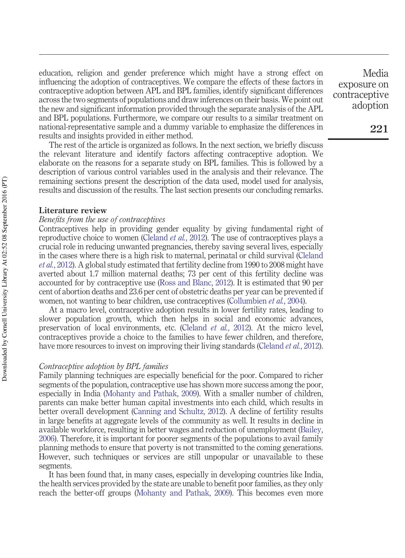education, religion and gender preference which might have a strong effect on influencing the adoption of contraceptives. We compare the effects of these factors in contraceptive adoption between APL and BPL families, identify significant differences across the two segments of populations and draw inferences on their basis. We point out the new and significant information provided through the separate analysis of the APL and BPL populations. Furthermore, we compare our results to a similar treatment on national-representative sample and a dummy variable to emphasize the differences in results and insights provided in either method.

The rest of the article is organized as follows. In the next section, we briefly discuss the relevant literature and identify factors affecting contraceptive adoption. We elaborate on the reasons for a separate study on BPL families. This is followed by a description of various control variables used in the analysis and their relevance. The remaining sections present the description of the data used, model used for analysis, results and discussion of the results. The last section presents our concluding remarks.

#### **Literature review**

#### *Benefits from the use of contraceptives*

Contraceptives help in providing gender equality by giving fundamental right of reproductive choice to women (Cleland *et al.*, 2012). The use of contraceptives plays a crucial role in reducing unwanted pregnancies, thereby saving several lives, especially in the cases where there is a high risk to maternal, perinatal or child survival (Cleland *et al.*, 2012). A global study estimated that fertility decline from 1990 to 2008 might have averted about 1.7 million maternal deaths; 73 per cent of this fertility decline was accounted for by contraceptive use (Ross and Blanc, 2012). It is estimated that 90 per cent of abortion deaths and 23.6 per cent of obstetric deaths per year can be prevented if women, not wanting to bear children, use contraceptives (Collumbien *et al.*, 2004).

At a macro level, contraceptive adoption results in lower fertility rates, leading to slower population growth, which then helps in social and economic advances, preservation of local environments, etc. (Cleland *et al.*, 2012). At the micro level, contraceptives provide a choice to the families to have fewer children, and therefore, have more resources to invest on improving their living standards (Cleland *et al.*, 2012).

#### *Contraceptive adoption by BPL families*

Family planning techniques are especially beneficial for the poor. Compared to richer segments of the population, contraceptive use has shown more success among the poor, especially in India (Mohanty and Pathak, 2009). With a smaller number of children, parents can make better human capital investments into each child, which results in better overall development (Canning and Schultz, 2012). A decline of fertility results in large benefits at aggregate levels of the community as well. It results in decline in available workforce, resulting in better wages and reduction of unemployment (Bailey, 2006). Therefore, it is important for poorer segments of the populations to avail family planning methods to ensure that poverty is not transmitted to the coming generations. However, such techniques or services are still unpopular or unavailable to these segments.

It has been found that, in many cases, especially in developing countries like India, the health services provided by the state are unable to benefit poor families, as they only reach the better-off groups (Mohanty and Pathak, 2009). This becomes even more

Media exposure on contraceptive adoption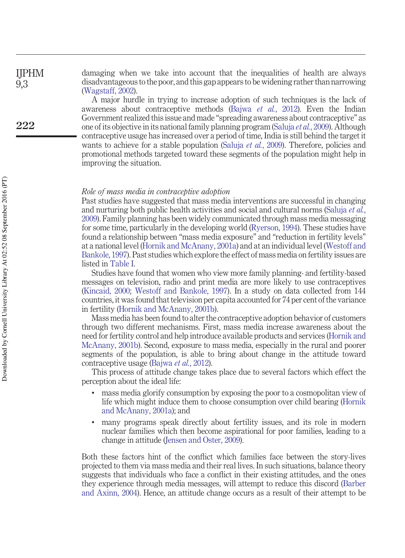damaging when we take into account that the inequalities of health are always disadvantageous to the poor, and this gap appears to be widening rather than narrowing (Wagstaff, 2002).

A major hurdle in trying to increase adoption of such techniques is the lack of awareness about contraceptive methods (Bajwa *et al.*, 2012). Even the Indian Government realized this issue and made "spreading awareness about contraceptive" as one of its objective in its national family planning program (Saluja *et al.*, 2009). Although contraceptive usage has increased over a period of time, India is still behind the target it wants to achieve for a stable population (Saluja *et al.*, 2009). Therefore, policies and promotional methods targeted toward these segments of the population might help in improving the situation.

#### *Role of mass media in contraceptive adoption*

Past studies have suggested that mass media interventions are successful in changing and nurturing both public health activities and social and cultural norms (Saluja *et al.*, 2009). Family planning has been widely communicated through mass media messaging for some time, particularly in the developing world (Ryerson, 1994). These studies have found a relationship between "mass media exposure" and "reduction in fertility levels" at a national level (Hornik and McAnany, 2001a) and at an individual level (Westoff and Bankole, 1997). Past studies which explore the effect of mass media on fertility issues are listed in Table I.

Studies have found that women who view more family planning- and fertility-based messages on television, radio and print media are more likely to use contraceptives (Kincaid, 2000; Westoff and Bankole, 1997). In a study on data collected from 144 countries, it was found that television per capita accounted for 74 per cent of the variance in fertility (Hornik and McAnany, 2001b).

Mass media has been found to alter the contraceptive adoption behavior of customers through two different mechanisms. First, mass media increase awareness about the need for fertility control and help introduce available products and services (Hornik and McAnany, 2001b). Second, exposure to mass media, especially in the rural and poorer segments of the population, is able to bring about change in the attitude toward contraceptive usage (Bajwa *et al.*, 2012).

This process of attitude change takes place due to several factors which effect the perception about the ideal life:

- mass media glorify consumption by exposing the poor to a cosmopolitan view of life which might induce them to choose consumption over child bearing (Hornik and McAnany, 2001a); and
- many programs speak directly about fertility issues, and its role in modern nuclear families which then become aspirational for poor families, leading to a change in attitude (Jensen and Oster, 2009).

Both these factors hint of the conflict which families face between the story-lives projected to them via mass media and their real lives. In such situations, balance theory suggests that individuals who face a conflict in their existing attitudes, and the ones they experience through media messages, will attempt to reduce this discord (Barber and Axinn, 2004). Hence, an attitude change occurs as a result of their attempt to be

IJPHM 9,3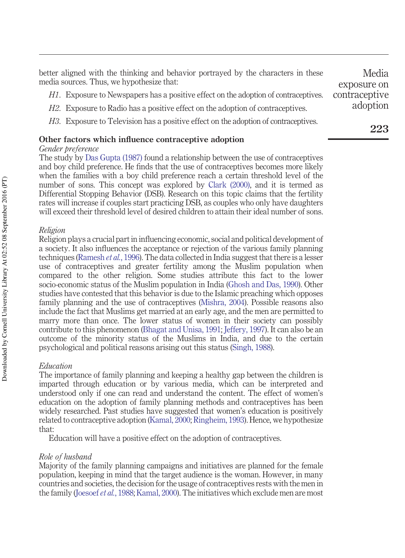better aligned with the thinking and behavior portrayed by the characters in these media sources. Thus, we hypothesize that:

- *H1*. Exposure to Newspapers has a positive effect on the adoption of contraceptives.
- *H2*. Exposure to Radio has a positive effect on the adoption of contraceptives.
- *H3*. Exposure to Television has a positive effect on the adoption of contraceptives.

#### **Other factors which influence contraceptive adoption**

#### *Gender preference*

The study by Das Gupta (1987) found a relationship between the use of contraceptives and boy child preference. He finds that the use of contraceptives becomes more likely when the families with a boy child preference reach a certain threshold level of the number of sons. This concept was explored by Clark (2000), and it is termed as Differential Stopping Behavior (DSB). Research on this topic claims that the fertility rates will increase if couples start practicing DSB, as couples who only have daughters will exceed their threshold level of desired children to attain their ideal number of sons.

#### *Religion*

Religion plays a crucial part in influencing economic, social and political development of a society. It also influences the acceptance or rejection of the various family planning techniques (Ramesh *et al.*, 1996). The data collected in India suggest that there is a lesser use of contraceptives and greater fertility among the Muslim population when compared to the other religion. Some studies attribute this fact to the lower socio-economic status of the Muslim population in India (Ghosh and Das, 1990). Other studies have contested that this behavior is due to the Islamic preaching which opposes family planning and the use of contraceptives (Mishra, 2004). Possible reasons also include the fact that Muslims get married at an early age, and the men are permitted to marry more than once. The lower status of women in their society can possibly contribute to this phenomenon (Bhagat and Unisa, 1991; Jeffery, 1997). It can also be an outcome of the minority status of the Muslims in India, and due to the certain psychological and political reasons arising out this status (Singh, 1988).

#### *Education*

The importance of family planning and keeping a healthy gap between the children is imparted through education or by various media, which can be interpreted and understood only if one can read and understand the content. The effect of women's education on the adoption of family planning methods and contraceptives has been widely researched. Past studies have suggested that women's education is positively related to contraceptive adoption (Kamal, 2000; Ringheim, 1993). Hence, we hypothesize that:

Education will have a positive effect on the adoption of contraceptives.

### *Role of husband*

Majority of the family planning campaigns and initiatives are planned for the female population, keeping in mind that the target audience is the woman. However, in many countries and societies, the decision for the usage of contraceptives rests with the men in the family (Joesoef *et al.*, 1988; Kamal, 2000). The initiatives which exclude men are most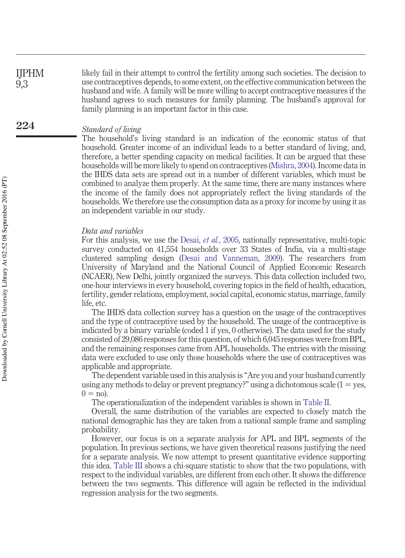likely fail in their attempt to control the fertility among such societies. The decision to use contraceptives depends, to some extent, on the effective communication between the husband and wife. A family will be more willing to accept contraceptive measures if the husband agrees to such measures for family planning. The husband's approval for family planning is an important factor in this case. IJPHM 9,3

#### *Standard of living* **224**

The household's living standard is an indication of the economic status of that household. Greater income of an individual leads to a better standard of living, and, therefore, a better spending capacity on medical facilities. It can be argued that these households will be more likely to spend on contraceptives (Mishra, 2004). Income data in the IHDS data sets are spread out in a number of different variables, which must be combined to analyze them properly. At the same time, there are many instances where the income of the family does not appropriately reflect the living standards of the households. We therefore use the consumption data as a proxy for income by using it as an independent variable in our study.

#### *Data and variables*

For this analysis, we use the Desai, *et al.*, 2005, nationally representative, multi-topic survey conducted on 41,554 households over 33 States of India, via a multi-stage clustered sampling design (Desai and Vanneman, 2009). The researchers from University of Maryland and the National Council of Applied Economic Research (NCAER), New Delhi, jointly organized the surveys. This data collection included two, one-hour interviews in every household, covering topics in the field of health, education, fertility, gender relations, employment, social capital, economic status, marriage, family life, etc.

The IHDS data collection survey has a question on the usage of the contraceptives and the type of contraceptive used by the household. The usage of the contraceptive is indicated by a binary variable (coded 1 if yes, 0 otherwise). The data used for the study consisted of 29,086 responses for this question, of which 6,045 responses were from BPL, and the remaining responses came from APL households. The entries with the missing data were excluded to use only those households where the use of contraceptives was applicable and appropriate.

The dependent variable used in this analysis is "Are you and your husband currently using any methods to delay or prevent pregnancy?" using a dichotomous scale  $(1 = yes,$  $0 = \overline{p}$ .

The operationalization of the independent variables is shown in Table II.

Overall, the same distribution of the variables are expected to closely match the national demographic has they are taken from a national sample frame and sampling probability.

However, our focus is on a separate analysis for APL and BPL segments of the population. In previous sections, we have given theoretical reasons justifying the need for a separate analysis. We now attempt to present quantitative evidence supporting this idea. Table III shows a chi-square statistic to show that the two populations, with respect to the individual variables, are different from each other. It shows the difference between the two segments. This difference will again be reflected in the individual regression analysis for the two segments.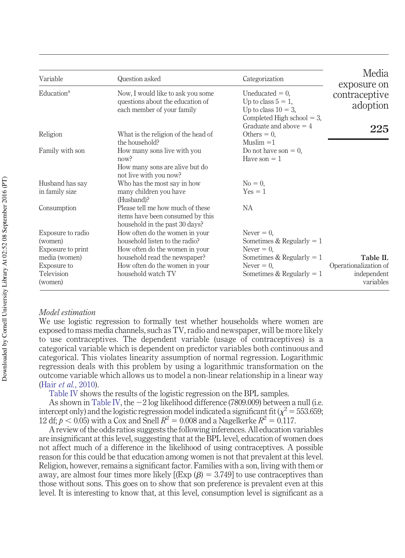|                                                       |                                                                                                        |                                                                                                       | Media                                                          |
|-------------------------------------------------------|--------------------------------------------------------------------------------------------------------|-------------------------------------------------------------------------------------------------------|----------------------------------------------------------------|
| Variable                                              | Question asked                                                                                         | Categorization                                                                                        | exposure on                                                    |
| Education <sup>a</sup>                                | Now, I would like to ask you some<br>questions about the education of<br>each member of your family    | Uneducated $= 0$ ,<br>Up to class $5 = 1$ ,<br>Up to class $10 = 3$ ,<br>Completed High school $=$ 3, | contraceptive<br>adoption                                      |
| Religion                                              | What is the religion of the head of<br>the household?                                                  | Graduate and above $= 4$<br>Others $= 0$ ,<br>$M11sin = 1$                                            | 225                                                            |
| Family with son                                       | How many sons live with you<br>now?<br>How many sons are alive but do<br>not live with you now?        | Do not have son $= 0$ ,<br>Have son $= 1$                                                             |                                                                |
| Husband has say<br>in family size                     | Who has the most say in how<br>many children you have<br>(Husband)?                                    | $\mathrm{No} = 0$ ,<br>$Yes = 1$                                                                      |                                                                |
| Consumption                                           | Please tell me how much of these<br>items have been consumed by this<br>household in the past 30 days? | NA.                                                                                                   |                                                                |
| Exposure to radio<br>(women)<br>Exposure to print     | How often do the women in your<br>household listen to the radio?<br>How often do the women in your     | Never $= 0$ ,<br>Sometimes & Regularly $= 1$<br>Never $= 0$ ,                                         |                                                                |
| media (women)<br>Exposure to<br>Television<br>(women) | household read the newspaper?<br>How often do the women in your<br>household watch TV                  | Sometimes & Regularly = 1<br>Never $= 0$ .<br>Sometimes & Regularly = $1$                             | Table II.<br>Operationalization of<br>independent<br>variables |

### *Model estimation*

We use logistic regression to formally test whether households where women are exposed to mass media channels, such as TV, radio and newspaper, will be more likely to use contraceptives. The dependent variable (usage of contraceptives) is a categorical variable which is dependent on predictor variables both continuous and categorical. This violates linearity assumption of normal regression. Logarithmic regression deals with this problem by using a logarithmic transformation on the outcome variable which allows us to model a non-linear relationship in a linear way (Hair *et al.*, 2010).

Table IV shows the results of the logistic regression on the BPL samples.

As shown in Table IV, the  $-2 \log$  likelihood difference (7809.009) between a null (i.e. intercept only) and the logistic regression model indicated a significant fit ( $\chi^2$  = 553.659; 12 df;  $p < 0.05$ ) with a Cox and Snell  $R^2 = 0.008$  and a Nagelkerke  $R^2 = 0.117$ .

A review of the odds ratios suggests the following inferences. All education variables are insignificant at this level, suggesting that at the BPL level, education of women does not affect much of a difference in the likelihood of using contraceptives. A possible reason for this could be that education among women is not that prevalent at this level. Religion, however, remains a significant factor. Families with a son, living with them or away, are almost four times more likely  $[(Exp (β) = 3.749]$  to use contraceptives than those without sons. This goes on to show that son preference is prevalent even at this level. It is interesting to know that, at this level, consumption level is significant as a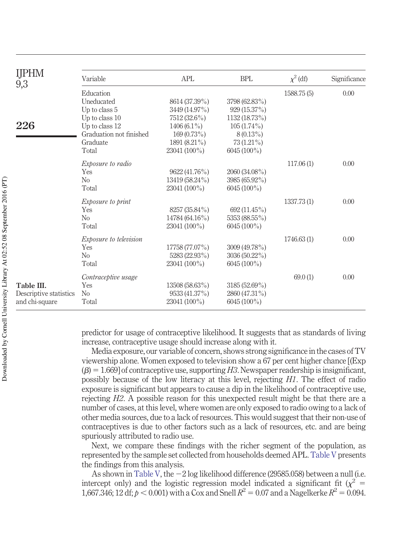| <b>IJPHM</b><br>9,3    | Variable                 | APL              | <b>BPL</b>      | $\chi^2$ (df) | Significance |
|------------------------|--------------------------|------------------|-----------------|---------------|--------------|
|                        | Education                |                  |                 | 1588.75 (5)   | 0.00         |
|                        | Uneducated               | 8614 (37.39%)    | 3798 (62.83%)   |               |              |
|                        | Up to class 5            | 3449 (14.97%)    | $929(15.37\%)$  |               |              |
|                        | Up to class 10           | 7512 (32.6%)     | $1132(18.73\%)$ |               |              |
| 226                    | Up to class 12           | $1406(6.1\%)$    | $105(1.74\%)$   |               |              |
|                        | Graduation not finished  | $169(0.73\%)$    | $8(0.13\%)$     |               |              |
|                        | Graduate                 | 1891 (8.21%)     | $73(1.21\%)$    |               |              |
|                        | Total                    | $23041(100\%)$   | $6045(100\%)$   |               |              |
|                        | <i>Exposure to radio</i> |                  |                 | 117.06(1)     | 0.00         |
|                        | Yes                      | $9622(41.76\%)$  | 2060 (34.08%)   |               |              |
|                        | N <sub>o</sub>           | 13419 (58.24%)   | 3985 (65.92%)   |               |              |
|                        | Total                    | $23041(100\%)$   | $6045(100\%)$   |               |              |
|                        | <i>Exposure to print</i> |                  |                 | 1337.73(1)    | 0.00         |
|                        | Yes                      | 8257 (35.84%)    | $692(11.45\%)$  |               |              |
|                        | No                       | 14784 (64.16%)   | 5353 (88.55%)   |               |              |
|                        | Total                    | $23041(100\%)$   | $6045(100\%)$   |               |              |
|                        | Exposure to television   |                  |                 | 1746.63(1)    | 0.00         |
|                        | Yes                      | 17758 (77.07%)   | 3009 (49.78%)   |               |              |
|                        | N <sub>0</sub>           | 5283 (22.93%)    | $3036(50.22\%)$ |               |              |
|                        | Total                    | 23041 (100%)     | $6045(100\%)$   |               |              |
|                        | Contraceptive usage      |                  |                 | 69.0(1)       | 0.00         |
| Table III.             | Yes                      | $13508(58.63\%)$ | $3185(52.69\%)$ |               |              |
| Descriptive statistics | N <sub>o</sub>           | 9533 (41.37%)    | 2860 (47.31%)   |               |              |
| and chi-square         | Total                    | $23041(100\%)$   | $6045(100\%)$   |               |              |

predictor for usage of contraceptive likelihood. It suggests that as standards of living increase, contraceptive usage should increase along with it.

Media exposure, our variable of concern, shows strong significance in the cases of TV viewership alone. Women exposed to television show a 67 per cent higher chance [(Exp  $(\beta) = 1.669$  of contraceptive use, supporting *H3*. Newspaper readership is insignificant, possibly because of the low literacy at this level, rejecting *H1*. The effect of radio exposure is significant but appears to cause a dip in the likelihood of contraceptive use, rejecting *H2*. A possible reason for this unexpected result might be that there are a number of cases, at this level, where women are only exposed to radio owing to a lack of other media sources, due to a lack of resources. This would suggest that their non-use of contraceptives is due to other factors such as a lack of resources, etc. and are being spuriously attributed to radio use.

Next, we compare these findings with the richer segment of the population, as represented by the sample set collected from households deemed APL. Table V presents the findings from this analysis.

As shown in Table V, the  $-2 \log$  likelihood difference (29585.058) between a null (i.e. intercept only) and the logistic regression model indicated a significant fit  $(\chi^2 =$ 1,667.346; 12 df;  $p < 0.001$ ) with a Cox and Snell  $R^2 = 0.07$  and a Nagelkerke  $R^2 = 0.094$ .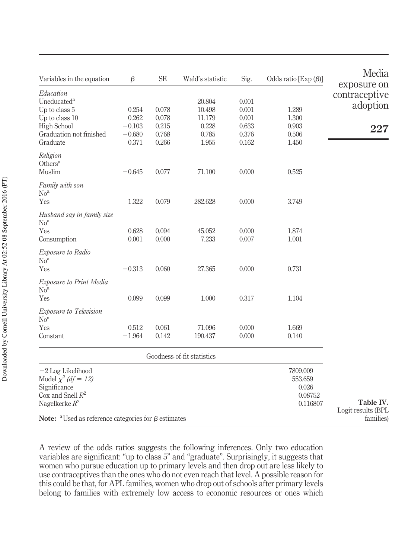| Variables in the equation                                                    | $\beta$  | $\rm SE$ | Wald's statistic           | Sig.  | Odds ratio [ $Exp(\beta)$ ] | Media<br>exposure on            |
|------------------------------------------------------------------------------|----------|----------|----------------------------|-------|-----------------------------|---------------------------------|
| Education                                                                    |          |          |                            |       |                             | contraceptive                   |
| Uneducated <sup>a</sup>                                                      |          |          | 20.804                     | 0.001 |                             | adoption                        |
| Up to class 5                                                                | 0.254    | 0.078    | 10.498                     | 0.001 | 1.289                       |                                 |
| Up to class 10                                                               | 0.262    | 0.078    | 11.179                     | 0.001 | 1.300                       |                                 |
| High School                                                                  | $-0.103$ | 0.215    | 0.228                      | 0.633 | 0.903                       | 227                             |
| Graduation not finished                                                      | $-0.680$ | 0.768    | 0.785                      | 0.376 | 0.506                       |                                 |
| Graduate                                                                     | 0.371    | 0.266    | 1.955                      | 0.162 | 1.450                       |                                 |
| Religion                                                                     |          |          |                            |       |                             |                                 |
| Others <sup>a</sup>                                                          |          |          |                            |       |                             |                                 |
| Muslim                                                                       | $-0.645$ | 0.077    | 71.100                     | 0.000 | 0.525                       |                                 |
| Family with son                                                              |          |          |                            |       |                             |                                 |
| No <sup>a</sup>                                                              |          |          |                            |       |                             |                                 |
| Yes                                                                          | 1.322    | 0.079    | 282.628                    | 0.000 | 3.749                       |                                 |
| Husband say in family size                                                   |          |          |                            |       |                             |                                 |
| No <sup>a</sup>                                                              |          |          |                            |       |                             |                                 |
| Yes                                                                          | 0.628    | 0.094    | 45.052                     | 0.000 | 1.874                       |                                 |
| Consumption                                                                  | 0.001    | 0.000    | 7.233                      | 0.007 | 1.001                       |                                 |
| <b>Exposure to Radio</b>                                                     |          |          |                            |       |                             |                                 |
| No <sup>a</sup>                                                              |          |          |                            |       |                             |                                 |
| Yes                                                                          | $-0.313$ | 0.060    | 27.365                     | 0.000 | 0.731                       |                                 |
| <b>Exposure to Print Media</b>                                               |          |          |                            |       |                             |                                 |
| $No^a$                                                                       |          |          |                            |       |                             |                                 |
| Yes                                                                          | 0.099    | 0.099    | 1.000                      | 0.317 | 1.104                       |                                 |
| <b>Exposure to Television</b>                                                |          |          |                            |       |                             |                                 |
| $\mathrm{No}^\mathrm{a}$                                                     |          |          |                            |       |                             |                                 |
| Yes                                                                          | 0.512    | 0.061    | 71.096                     | 0.000 | 1.669                       |                                 |
| Constant                                                                     | $-1.964$ | 0.142    | 190.437                    | 0.000 | 0.140                       |                                 |
|                                                                              |          |          |                            |       |                             |                                 |
|                                                                              |          |          | Goodness-of-fit statistics |       |                             |                                 |
| $-2$ Log Likelihood                                                          |          |          |                            |       | 7809.009                    |                                 |
| Model $\chi^2$ (df = 12)                                                     |          |          |                            |       | 553.659                     |                                 |
| Significance                                                                 |          |          |                            |       | 0.026                       |                                 |
| Cox and Snell $R^2$                                                          |          |          |                            |       | 0.08752                     |                                 |
| Nagelkerke $R^2$                                                             |          |          |                            |       | 0.116807                    | Table IV.                       |
| <b>Note:</b> <sup>a</sup> Used as reference categories for $\beta$ estimates |          |          |                            |       |                             | Logit results (BPL<br>families) |
|                                                                              |          |          |                            |       |                             |                                 |

A review of the odds ratios suggests the following inferences. Only two education variables are significant: "up to class 5" and "graduate". Surprisingly, it suggests that women who pursue education up to primary levels and then drop out are less likely to use contraceptives than the ones who do not even reach that level. A possible reason for this could be that, for APL families, women who drop out of schools after primary levels belong to families with extremely low access to economic resources or ones which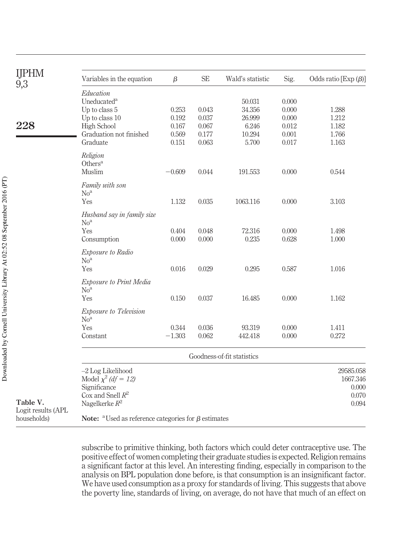| <b>IJPHM</b>                   | Variables in the equation                                                    | $\beta$  | <b>SE</b> | Wald's statistic           | Sig.  | Odds ratio [ $Exp(\beta)$ ] |
|--------------------------------|------------------------------------------------------------------------------|----------|-----------|----------------------------|-------|-----------------------------|
| 9,3                            | Education                                                                    |          |           |                            |       |                             |
|                                | Uneducated <sup>a</sup>                                                      |          |           | 50.031                     | 0.000 |                             |
|                                | Up to class 5                                                                | 0.253    | 0.043     | 34.356                     | 0.000 | 1.288                       |
|                                | Up to class 10                                                               | 0.192    | 0.037     | 26.999                     | 0.000 | 1.212                       |
| 228                            | <b>High School</b>                                                           | 0.167    | 0.067     | 6.246                      | 0.012 | 1.182                       |
|                                | Graduation not finished                                                      | 0.569    | 0.177     | 10.294                     | 0.001 | 1.766                       |
|                                | Graduate                                                                     | 0.151    | 0.063     | 5.700                      | 0.017 | 1.163                       |
|                                | Religion                                                                     |          |           |                            |       |                             |
|                                | Others <sup>a</sup>                                                          |          |           |                            |       |                             |
|                                | Muslim                                                                       | $-0.609$ | 0.044     | 191.553                    | 0.000 | 0.544                       |
|                                | Family with son                                                              |          |           |                            |       |                             |
|                                | No <sup>a</sup>                                                              |          |           |                            |       |                             |
|                                | Yes                                                                          | 1.132    | 0.035     | 1063.116                   | 0.000 | 3.103                       |
|                                | Husband say in family size                                                   |          |           |                            |       |                             |
|                                | No <sup>a</sup>                                                              |          |           |                            |       |                             |
|                                | Yes                                                                          | 0.404    | 0.048     | 72.316                     | 0.000 | 1.498                       |
|                                | Consumption                                                                  | 0.000    | 0.000     | 0.235                      | 0.628 | 1.000                       |
|                                | <b>Exposure to Radio</b>                                                     |          |           |                            |       |                             |
|                                | No <sup>a</sup>                                                              |          |           |                            |       |                             |
|                                | Yes                                                                          | 0.016    | 0.029     | 0.295                      | 0.587 | 1.016                       |
|                                | <b>Exposure to Print Media</b>                                               |          |           |                            |       |                             |
|                                | No <sup>a</sup>                                                              |          |           |                            |       |                             |
|                                | Yes                                                                          | 0.150    | 0.037     | 16.485                     | 0.000 | 1.162                       |
|                                | <b>Exposure to Television</b>                                                |          |           |                            |       |                             |
|                                | No <sup>a</sup>                                                              |          |           |                            |       |                             |
|                                | Yes                                                                          | 0.344    | 0.036     | 93.319                     | 0.000 | 1.411                       |
|                                | Constant                                                                     | $-1.303$ | 0.062     | 442.418                    | 0.000 | 0.272                       |
|                                |                                                                              |          |           | Goodness-of-fit statistics |       |                             |
|                                | -2 Log Likelihood                                                            |          |           |                            |       | 29585.058                   |
|                                | Model $\chi^2$ (df = 12)                                                     |          |           |                            |       | 1667.346                    |
|                                | Significance                                                                 |          |           |                            |       | 0.000                       |
|                                | Cox and Snell $R^2$                                                          |          |           |                            |       | 0.070                       |
| Table V.<br>Logit results (APL | Nagelkerke $\mathbb{R}^2$                                                    |          |           |                            |       | 0.094                       |
| households)                    | <b>Note:</b> <sup>a</sup> Used as reference categories for $\beta$ estimates |          |           |                            |       |                             |
|                                |                                                                              |          |           |                            |       |                             |

subscribe to primitive thinking, both factors which could deter contraceptive use. The positive effect of women completing their graduate studies is expected. Religion remains a significant factor at this level. An interesting finding, especially in comparison to the analysis on BPL population done before, is that consumption is an insignificant factor. We have used consumption as a proxy for standards of living. This suggests that above the poverty line, standards of living, on average, do not have that much of an effect on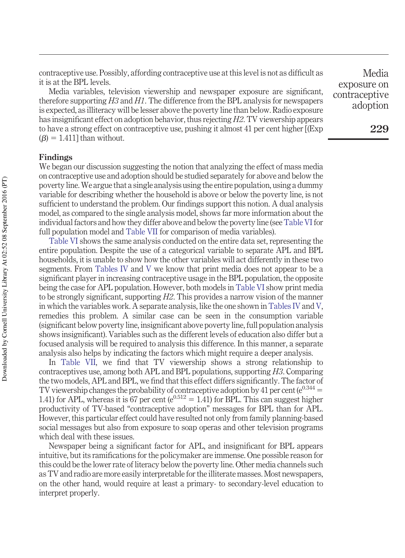contraceptive use. Possibly, affording contraceptive use at this level is not as difficult as it is at the BPL levels.

Media variables, television viewership and newspaper exposure are significant, therefore supporting *H3* and *H1*. The difference from the BPL analysis for newspapers is expected, as illiteracy will be lesser above the poverty line than below. Radio exposure has insignificant effect on adoption behavior, thus rejecting *H2*. TV viewership appears to have a strong effect on contraceptive use, pushing it almost 41 per cent higher [(Exp  $(\beta) = 1.411$ ] than without.

#### **Findings**

We began our discussion suggesting the notion that analyzing the effect of mass media on contraceptive use and adoption should be studied separately for above and below the poverty line. We argue that a single analysis using the entire population, using a dummy variable for describing whether the household is above or below the poverty line, is not sufficient to understand the problem. Our findings support this notion. A dual analysis model, as compared to the single analysis model, shows far more information about the individual factors and how they differ above and below the poverty line (seeTable VI for full population model and Table VII for comparison of media variables).

Table VI shows the same analysis conducted on the entire data set, representing the entire population. Despite the use of a categorical variable to separate APL and BPL households, it is unable to show how the other variables will act differently in these two segments. From Tables IV and V we know that print media does not appear to be a significant player in increasing contraceptive usage in the BPL population, the opposite being the case for APL population. However, both models in Table VI show print media to be strongly significant, supporting *H2*. This provides a narrow vision of the manner in which the variables work. A separate analysis, like the one shown in Tables IV and V, remedies this problem. A similar case can be seen in the consumption variable (significant below poverty line, insignificant above poverty line, full population analysis shows insignificant). Variables such as the different levels of education also differ but a focused analysis will be required to analysis this difference. In this manner, a separate analysis also helps by indicating the factors which might require a deeper analysis.

In Table VII, we find that TV viewership shows a strong relationship to contraceptives use, among both APL and BPL populations, supporting *H3*. Comparing the two models, APL and BPL, we find that this effect differs significantly. The factor of TV viewership changes the probability of contraceptive adoption by 41 per cent ( $e^{0.344}$  = 1.41) for APL, whereas it is 67 per cent ( $e^{0.512} = 1.41$ ) for BPL. This can suggest higher productivity of TV-based "contraceptive adoption" messages for BPL than for APL. However, this particular effect could have resulted not only from family planning-based social messages but also from exposure to soap operas and other television programs which deal with these issues.

Newspaper being a significant factor for APL, and insignificant for BPL appears intuitive, but its ramifications for the policymaker are immense. One possible reason for this could be the lower rate of literacy below the poverty line. Other media channels such as TV and radio are more easily interpretable for the illiterate masses. Most newspapers, on the other hand, would require at least a primary- to secondary-level education to interpret properly.

Media exposure on contraceptive adoption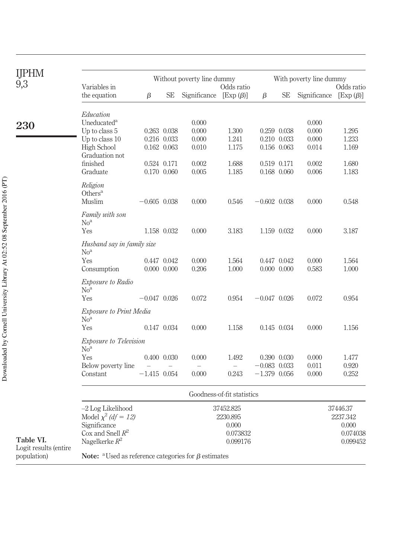| <b>IJPHM</b>                       |                                                                              |                |                 |                            |                                |                |                 |                         |                              |
|------------------------------------|------------------------------------------------------------------------------|----------------|-----------------|----------------------------|--------------------------------|----------------|-----------------|-------------------------|------------------------------|
| 9,3                                |                                                                              |                |                 | Without poverty line dummy |                                |                |                 | With poverty line dummy |                              |
|                                    | Variables in<br>the equation                                                 | $\beta$        | <b>SE</b>       | Significance               | Odds ratio<br>$[Exp( \beta) ]$ | β              | <b>SE</b>       | Significance            | Odds ratio<br>$[Exp(\beta)]$ |
|                                    | Education                                                                    |                |                 |                            |                                |                |                 |                         |                              |
| 230                                | Uneducated <sup>a</sup><br>Up to class 5                                     |                | 0.263 0.038     | 0.000<br>0.000             | 1.300                          |                | 0.259 0.038     | 0.000<br>0.000          | 1.295                        |
|                                    | Up to class 10                                                               |                | 0.216 0.033     | 0.000                      | 1.241                          |                | 0.210 0.033     | 0.000                   | 1.233                        |
|                                    | <b>High School</b>                                                           |                | $0.162$ $0.063$ | 0.010                      | 1.175                          |                | $0.156$ $0.063$ | 0.014                   | 1.169                        |
|                                    | Graduation not                                                               |                |                 |                            |                                |                |                 |                         |                              |
|                                    | finished                                                                     |                | 0.524 0.171     | 0.002                      | 1.688                          |                | 0.519 0.171     | 0.002                   | 1.680                        |
|                                    | Graduate                                                                     |                | 0.170 0.060     | 0.005                      | 1.185                          |                | 0.168 0.060     | 0.006                   | 1.183                        |
|                                    | Religion<br>Others <sup>a</sup>                                              |                |                 |                            |                                |                |                 |                         |                              |
|                                    | Muslim                                                                       | $-0.605$ 0.038 |                 | 0.000                      | 0.546                          | $-0.602$ 0.038 |                 | 0.000                   | 0.548                        |
|                                    | Family with son<br>No <sup>a</sup>                                           |                |                 |                            |                                |                |                 |                         |                              |
|                                    | Yes                                                                          |                | 1.158 0.032     | 0.000                      | 3.183                          |                | 1.159 0.032     | 0.000                   | 3.187                        |
|                                    | Husband say in family size<br>No <sup>a</sup>                                |                |                 |                            |                                |                |                 |                         |                              |
|                                    | Yes                                                                          |                | 0.447 0.042     | 0.000                      | 1.564                          |                | 0.447 0.042     | 0.000                   | 1.564                        |
|                                    | Consumption                                                                  |                | $0.000$ $0.000$ | 0.206                      | 1.000                          |                | $0.000$ $0.000$ | 0.583                   | 1.000                        |
|                                    | <i>Exposure to Radio</i><br>No <sup>a</sup>                                  |                |                 |                            |                                |                |                 |                         |                              |
|                                    | Yes                                                                          | $-0.047$ 0.026 |                 | 0.072                      | 0.954                          | $-0.047$ 0.026 |                 | 0.072                   | 0.954                        |
|                                    | <b>Exposure to Print Media</b><br>No <sup>a</sup>                            |                |                 |                            |                                |                |                 |                         |                              |
|                                    | Yes                                                                          |                | 0.147 0.034     | 0.000                      | 1.158                          |                | 0.145 0.034     | 0.000                   | 1.156                        |
|                                    | <b>Exposure to Television</b><br>No <sup>a</sup>                             |                |                 |                            |                                |                |                 |                         |                              |
|                                    | Yes                                                                          |                | 0.400 0.030     | 0.000                      | 1.492                          |                | 0.390 0.030     | 0.000                   | 1.477                        |
|                                    | Below poverty line                                                           |                |                 |                            |                                | $-0.083$ 0.033 |                 | 0.011                   | 0.920                        |
|                                    | Constant                                                                     | $-1.415$ 0.054 |                 | 0.000                      | 0.243                          | $-1.379$ 0.056 |                 | 0.000                   | 0.252                        |
|                                    |                                                                              |                |                 |                            | Goodness-of-fit statistics     |                |                 |                         |                              |
|                                    | -2 Log Likelihood                                                            |                |                 |                            | 37452.825                      |                |                 |                         | 37446.37                     |
|                                    | Model $\chi^2$ (df = 12)                                                     |                |                 |                            | 2230.895                       |                |                 |                         | 2237.342                     |
|                                    | Significance                                                                 |                |                 |                            | 0.000                          |                |                 |                         | 0.000                        |
|                                    | Cox and Snell $R^2$                                                          |                |                 |                            | 0.073832                       |                |                 |                         | 0.074038                     |
| Table VI.<br>Logit results (entire | Nagelkerke $\mathbb{R}^2$                                                    |                |                 |                            | 0.099176                       |                |                 |                         | 0.099452                     |
| population)                        | <b>Note:</b> <sup>a</sup> Used as reference categories for $\beta$ estimates |                |                 |                            |                                |                |                 |                         |                              |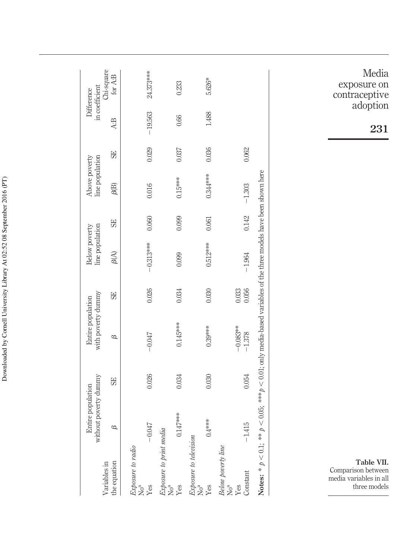|                                                 | without poverty dunnny<br>Entire population                                                                                             |       | with poverty dummy<br>Entire population |                | line population<br>Below poverty |           | line population<br>Above poverty |       |           | in coefficient<br>Difference |
|-------------------------------------------------|-----------------------------------------------------------------------------------------------------------------------------------------|-------|-----------------------------------------|----------------|----------------------------------|-----------|----------------------------------|-------|-----------|------------------------------|
| Variables in<br>the equation                    | B                                                                                                                                       | SE    | B                                       | <b>SE</b>      | $\beta(A)$                       | <b>SE</b> | $\beta$ (B)                      | 55    | A:B       | Chi-square<br>for $A:B$      |
| Exposure to radio<br>Yes<br>$No^a$              | $-0.047$                                                                                                                                | 0.026 | $-0.047$                                | 0.026          | $-0.313***$                      | 0.060     | 0.016                            | 0.029 | $-19.563$ | 24.373***                    |
| Exposure to print media<br>Yes<br>$\rm No^a$    | $0.147***$                                                                                                                              | 0.034 | $0.145***$                              | 0.034          | 0.099                            | 0.099     | $0.15***$                        | 0.037 | 0.66      | 0.233                        |
| Exposure to television<br>Yes<br>$No^a$         | $0.4***$                                                                                                                                | 0.030 | $0.39***$                               | 0.030          | $0.512***$                       | 0.061     | $0.344***$                       | 0.036 | 1.488     | 5.626*                       |
| Below poverty line<br>Constant<br>Yes<br>$No^a$ | $-1.415$                                                                                                                                | 0.054 | $-0.083***$<br>$-1.378$                 | 0.056<br>0.033 | $-1.964$                         | $0.142\,$ | $-1.303$                         | 0.062 |           |                              |
|                                                 | <b>Notes:</b> * $p \lt 0.1$ ; *** $p \lt 0.05$ ; *** $p \lt 0.01$ ; only media-based variables of the three models have been shown here |       |                                         |                |                                  |           |                                  |       |           |                              |
|                                                 |                                                                                                                                         |       |                                         |                |                                  |           |                                  |       |           |                              |

Media exposure on contraceptive adoption

**231**

**Table VII.** Comparison between media variables in all three models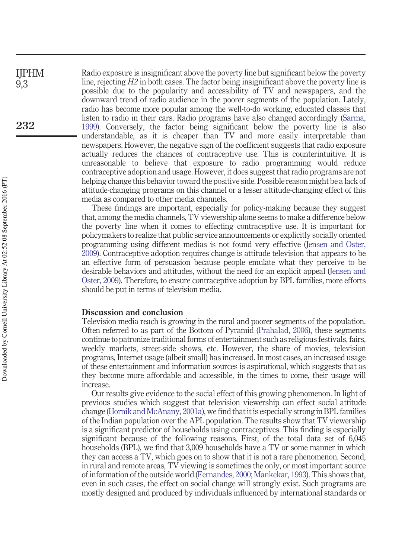Radio exposure is insignificant above the poverty line but significant below the poverty line, rejecting *H2* in both cases. The factor being insignificant above the poverty line is possible due to the popularity and accessibility of TV and newspapers, and the downward trend of radio audience in the poorer segments of the population. Lately, radio has become more popular among the well-to-do working, educated classes that listen to radio in their cars. Radio programs have also changed accordingly (Sarma, 1999). Conversely, the factor being significant below the poverty line is also understandable, as it is cheaper than TV and more easily interpretable than newspapers. However, the negative sign of the coefficient suggests that radio exposure actually reduces the chances of contraceptive use. This is counterintuitive. It is unreasonable to believe that exposure to radio programming would reduce contraceptive adoption and usage. However, it does suggest that radio programs are not helping change this behavior toward the positive side. Possible reason might be a lack of attitude-changing programs on this channel or a lesser attitude-changing effect of this media as compared to other media channels.

These findings are important, especially for policy-making because they suggest that, among the media channels, TV viewership alone seems to make a difference below the poverty line when it comes to effecting contraceptive use. It is important for policymakers to realize that public service announcements or explicitly socially oriented programming using different medias is not found very effective (Jensen and Oster, 2009). Contraceptive adoption requires change is attitude television that appears to be an effective form of persuasion because people emulate what they perceive to be desirable behaviors and attitudes, without the need for an explicit appeal (Jensen and Oster, 2009). Therefore, to ensure contraceptive adoption by BPL families, more efforts should be put in terms of television media.

#### **Discussion and conclusion**

Television media reach is growing in the rural and poorer segments of the population. Often referred to as part of the Bottom of Pyramid (Prahalad, 2006), these segments continue to patronize traditional forms of entertainment such as religious festivals, fairs, weekly markets, street-side shows, etc. However, the share of movies, television programs, Internet usage (albeit small) has increased. In most cases, an increased usage of these entertainment and information sources is aspirational, which suggests that as they become more affordable and accessible, in the times to come, their usage will increase.

Our results give evidence to the social effect of this growing phenomenon. In light of previous studies which suggest that television viewership can effect social attitude change (Hornik and McAnany, 2001a), we find that it is especially strong in BPL families of the Indian population over the APL population. The results show that TV viewership is a significant predictor of households using contraceptives. This finding is especially significant because of the following reasons. First, of the total data set of 6,045 households (BPL), we find that 3,009 households have a TV or some manner in which they can access a TV, which goes on to show that it is not a rare phenomenon. Second, in rural and remote areas, TV viewing is sometimes the only, or most important source of information of the outside world (Fernandes, 2000; Mankekar, 1993). This shows that, even in such cases, the effect on social change will strongly exist. Such programs are mostly designed and produced by individuals influenced by international standards or

IJPHM 9,3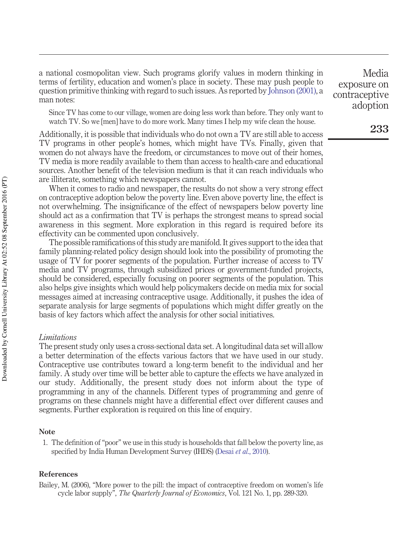a national cosmopolitan view. Such programs glorify values in modern thinking in terms of fertility, education and women's place in society. These may push people to question primitive thinking with regard to such issues. As reported by Johnson (2001), a man notes:

Since TV has come to our village, women are doing less work than before. They only want to watch TV. So we [men] have to do more work. Many times I help my wife clean the house.

Additionally, it is possible that individuals who do not own a TV are still able to access TV programs in other people's homes, which might have TVs. Finally, given that women do not always have the freedom, or circumstances to move out of their homes, TV media is more readily available to them than access to health-care and educational sources. Another benefit of the television medium is that it can reach individuals who are illiterate, something which newspapers cannot.

When it comes to radio and newspaper, the results do not show a very strong effect on contraceptive adoption below the poverty line. Even above poverty line, the effect is not overwhelming. The insignificance of the effect of newspapers below poverty line should act as a confirmation that TV is perhaps the strongest means to spread social awareness in this segment. More exploration in this regard is required before its effectivity can be commented upon conclusively.

The possible ramifications of this study are manifold. It gives support to the idea that family planning-related policy design should look into the possibility of promoting the usage of TV for poorer segments of the population. Further increase of access to TV media and TV programs, through subsidized prices or government-funded projects, should be considered, especially focusing on poorer segments of the population. This also helps give insights which would help policymakers decide on media mix for social messages aimed at increasing contraceptive usage. Additionally, it pushes the idea of separate analysis for large segments of populations which might differ greatly on the basis of key factors which affect the analysis for other social initiatives.

#### *Limitations*

The present study only uses a cross-sectional data set. A longitudinal data set will allow a better determination of the effects various factors that we have used in our study. Contraceptive use contributes toward a long-term benefit to the individual and her family. A study over time will be better able to capture the effects we have analyzed in our study. Additionally, the present study does not inform about the type of programming in any of the channels. Different types of programming and genre of programs on these channels might have a differential effect over different causes and segments. Further exploration is required on this line of enquiry.

#### **Note**

1. The definition of "poor" we use in this study is households that fall below the poverty line, as specified by India Human Development Survey (IHDS) (Desai *et al*., 2010).

#### **References**

Bailey, M. (2006), "More power to the pill: the impact of contraceptive freedom on women's life cycle labor supply", *The Quarterly Journal of Economics*, Vol. 121 No. 1, pp. 289-320.

Media exposure on contraceptive adoption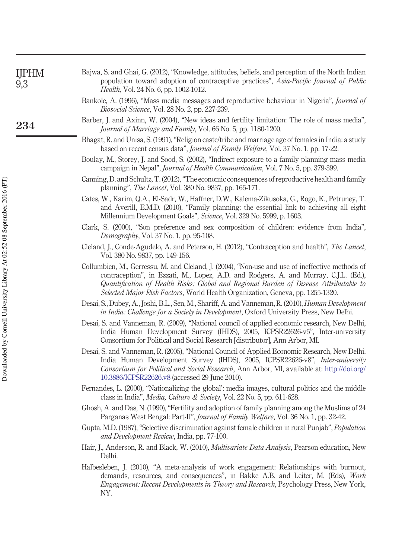| <b>IIPHM</b><br>9,3 | Bajwa, S. and Ghai, G. (2012), "Knowledge, attitudes, beliefs, and perception of the North Indian<br>population toward adoption of contraceptive practices", Asia-Pacific Journal of Public<br>Health, Vol. 24 No. 6, pp. 1002-1012.                                                                                                                               |
|---------------------|--------------------------------------------------------------------------------------------------------------------------------------------------------------------------------------------------------------------------------------------------------------------------------------------------------------------------------------------------------------------|
|                     | Bankole, A. (1996), "Mass media messages and reproductive behaviour in Nigeria", <i>Journal of</i><br>Biosocial Science, Vol. 28 No. 2, pp. 227-239.                                                                                                                                                                                                               |
| 234                 | Barber, J. and Axinn, W. (2004), "New ideas and fertility limitation: The role of mass media",<br>Journal of Marriage and Family, Vol. 66 No. 5, pp. 1180-1200.                                                                                                                                                                                                    |
|                     | Bhagat, R. and Unisa, S. (1991), "Religion caste/tribe and marriage age of females in India: a study<br>based on recent census data", Journal of Family Welfare, Vol. 37 No. 1, pp. 17-22.                                                                                                                                                                         |
|                     | Boulay, M., Storey, J. and Sood, S. (2002), "Indirect exposure to a family planning mass media<br>campaign in Nepal", <i>Journal of Health Communication</i> , Vol. 7 No. 5, pp. 379-399.                                                                                                                                                                          |
|                     | Canning, D. and Schultz, T. (2012), "The economic consequences of reproductive health and family<br>planning", The Lancet, Vol. 380 No. 9837, pp. 165-171.                                                                                                                                                                                                         |
|                     | Cates, W., Karim, Q.A., El-Sadr, W., Haffner, D.W., Kalema-Zikusoka, G., Rogo, K., Petruney, T.<br>and Averill, E.M.D. (2010), "Family planning: the essential link to achieving all eight<br>Millennium Development Goals", Science, Vol. 329 No. 5999, p. 1603.                                                                                                  |
|                     | Clark, S. (2000), "Son preference and sex composition of children: evidence from India",<br><i>Demography</i> , Vol. 37 No. 1, pp. 95-108.                                                                                                                                                                                                                         |
|                     | Cleland, J., Conde-Agudelo, A. and Peterson, H. (2012), "Contraception and health", The Lancet,<br>Vol. 380 No. 9837, pp. 149-156.                                                                                                                                                                                                                                 |
|                     | Collumbien, M., Gerressu, M. and Cleland, J. (2004), "Non-use and use of ineffective methods of<br>contraception", in Ezzati, M., Lopez, A.D. and Rodgers, A. and Murray, C.J.L. (Ed.),<br>Quantification of Health Risks: Global and Regional Burden of Disease Attributable to<br>Selected Major Risk Factors, World Health Organization, Geneva, pp. 1255-1320. |
|                     | Desai, S., Dubey, A., Joshi, B.L., Sen, M., Shariff, A. and Vanneman, R. (2010), Human Development<br>in India: Challenge for a Society in Development, Oxford University Press, New Delhi.                                                                                                                                                                        |
|                     | Desai, S. and Vanneman, R. (2009), "National council of applied economic research, New Delhi,<br>India Human Development Survey (IHDS), 2005, ICPSR22626-v5", Inter-university<br>Consortium for Political and Social Research [distributor], Ann Arbor, MI.                                                                                                       |
|                     | Desai, S. and Vanneman, R. (2005), "National Council of Applied Economic Research, New Delhi.<br>India Human Development Survey (IHDS), 2005, ICPSR22626-v8", Inter-university<br>Consortium for Political and Social Research, Ann Arbor, MI, available at: http://doi.org/<br>10.3886/ICPSR22626.v8 (accessed 29 June 2010).                                     |
|                     | Fernandes, L. (2000), "Nationalizing the global': media images, cultural politics and the middle<br>class in India", Media, Culture & Society, Vol. 22 No. 5, pp. 611-628.                                                                                                                                                                                         |
|                     | Ghosh, A. and Das, N. (1990), "Fertility and adoption of family planning among the Muslims of 24<br>Parganas West Bengal: Part-II", Journal of Family Welfare, Vol. 36 No. 1, pp. 32-42.                                                                                                                                                                           |
|                     | Gupta, M.D. (1987), "Selective discrimination against female children in rural Punjab", Population<br>and Development Review, India, pp. 77-100.                                                                                                                                                                                                                   |
|                     | Hair, J., Anderson, R. and Black, W. (2010), <i>Multivariate Data Analysis</i> , Pearson education, New<br>Delhi.                                                                                                                                                                                                                                                  |
|                     | Halbesleben, J. (2010), "A meta-analysis of work engagement: Relationships with burnout,                                                                                                                                                                                                                                                                           |

demands, resources, and consequences", in Bakke A.B. and Leiter, M. (Eds), *Work Engagement: Recent Developments in Theory and Research*, Psychology Press, New York, NY.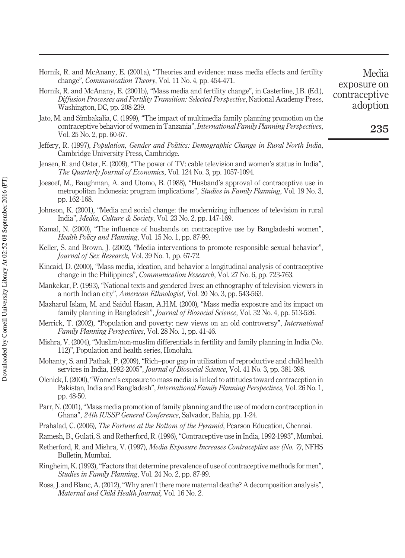- Hornik, R. and McAnany, E. (2001a), "Theories and evidence: mass media effects and fertility change", *Communication Theory*, Vol. 11 No. 4, pp. 454-471.
- Hornik, R. and McAnany, E. (2001b), "Mass media and fertility change", in Casterline, J.B. (Ed.), *Diffusion Processes and Fertility Transition: Selected Perspective*, National Academy Press, Washington, DC, pp. 208-239.
- Jato, M. and Simbakalia, C. (1999), "The impact of multimedia family planning promotion on the contraceptive behavior of women in Tanzania", *International Family Planning Perspectives*, Vol. 25 No. 2, pp. 60-67.
- Jeffery, R. (1997), *Population, Gender and Politics: Demographic Change in Rural North India*, Cambridge University Press, Cambridge.
- Jensen, R. and Oster, E. (2009), "The power of TV: cable television and women's status in India", *The Quarterly Journal of Economics*, Vol. 124 No. 3, pp. 1057-1094.
- Joesoef, M., Baughman, A. and Utomo, B. (1988), "Husband's approval of contraceptive use in metropolitan Indonesia: program implications", *Studies in Family Planning*, Vol. 19 No. 3, pp. 162-168.
- Johnson, K. (2001), "Media and social change: the modernizing influences of television in rural India", *Media, Culture & Society*, Vol. 23 No. 2, pp. 147-169.
- Kamal, N. (2000), "The influence of husbands on contraceptive use by Bangladeshi women", *Health Policy and Planning*, Vol. 15 No. 1, pp. 87-99.
- Keller, S. and Brown, J. (2002), "Media interventions to promote responsible sexual behavior", *Journal of Sex Research*, Vol. 39 No. 1, pp. 67-72.
- Kincaid, D. (2000), "Mass media, ideation, and behavior a longitudinal analysis of contraceptive change in the Philippines", *Communication Research*, Vol. 27 No. 6, pp. 723-763.
- Mankekar, P. (1993), "National texts and gendered lives: an ethnography of television viewers in a north Indian city", *American Ethnologist*, Vol. 20 No. 3, pp. 543-563.
- Mazharul Islam, M. and Saidul Hasan, A.H.M. (2000), "Mass media exposure and its impact on family planning in Bangladesh", *Journal of Biosocial Science*, Vol. 32 No. 4, pp. 513-526.
- Merrick, T. (2002), "Population and poverty: new views on an old controversy", *International Family Planning Perspectives*, Vol. 28 No. 1, pp. 41-46.
- Mishra, V. (2004), "Muslim/non-muslim differentials in fertility and family planning in India (No. 112)", Population and health series, Honolulu.
- Mohanty, S. and Pathak, P. (2009), "Rich–poor gap in utilization of reproductive and child health services in India, 1992-2005", *Journal of Biosocial Science*, Vol. 41 No. 3, pp. 381-398.
- Olenick, I. (2000), "Women's exposure to mass media is linked to attitudes toward contraception in Pakistan, India and Bangladesh", *International Family Planning Perspectives*, Vol. 26 No. 1, pp. 48-50.
- Parr, N. (2001), "Mass media promotion of family planning and the use of modern contraception in Ghana", *24th IUSSP General Conference*, Salvador, Bahia, pp. 1-24.
- Prahalad, C. (2006), *The Fortune at the Bottom of the Pyramid*, Pearson Education, Chennai.
- Ramesh, B., Gulati, S. and Retherford, R. (1996), "Contraceptive use in India, 1992-1993", Mumbai.
- Retherford, R. and Mishra, V. (1997), *Media Exposure Increases Contraceptive use (No. 7)*, NFHS Bulletin, Mumbai.
- Ringheim, K. (1993), "Factors that determine prevalence of use of contraceptive methods for men", *Studies in Family Planning*, Vol. 24 No. 2, pp. 87-99.
- Ross, J. and Blanc, A. (2012), "Why aren't there more maternal deaths? A decomposition analysis", *Maternal and Child Health Journal*, Vol. 16 No. 2.

Media

exposure on contraceptive adoption